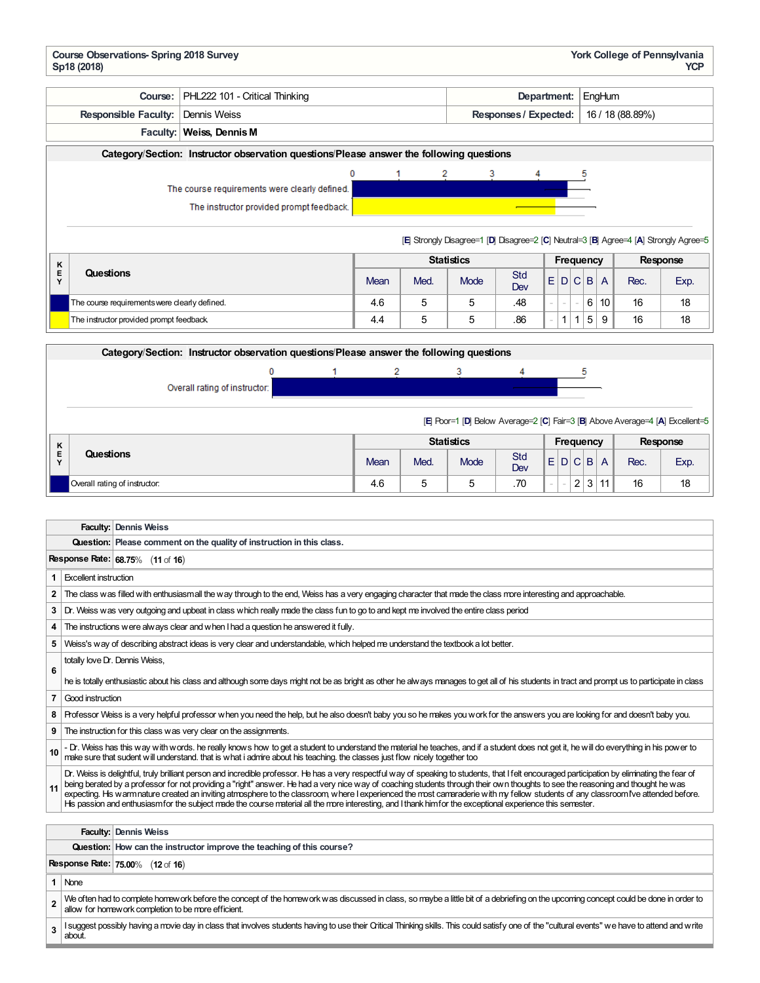| <b>Course Observations-Spring 2018 Survey</b><br>York College of Pennsylvania<br><b>YCP</b><br>Sp18 (2018)                                                                                                                                                                                                                                                                                                                                                                                                                                                                                                                                                                                                                                    |                                                                                                                                                                                      |      |      |                                                                                       |                                           |             |                                  |          |          |  |  |
|-----------------------------------------------------------------------------------------------------------------------------------------------------------------------------------------------------------------------------------------------------------------------------------------------------------------------------------------------------------------------------------------------------------------------------------------------------------------------------------------------------------------------------------------------------------------------------------------------------------------------------------------------------------------------------------------------------------------------------------------------|--------------------------------------------------------------------------------------------------------------------------------------------------------------------------------------|------|------|---------------------------------------------------------------------------------------|-------------------------------------------|-------------|----------------------------------|----------|----------|--|--|
| Course:                                                                                                                                                                                                                                                                                                                                                                                                                                                                                                                                                                                                                                                                                                                                       | PHL222 101 - Critical Thinking                                                                                                                                                       |      |      |                                                                                       | Department:<br>EngHum                     |             |                                  |          |          |  |  |
| <b>Responsible Faculty:</b>                                                                                                                                                                                                                                                                                                                                                                                                                                                                                                                                                                                                                                                                                                                   | Dennis Weiss                                                                                                                                                                         |      |      |                                                                                       | Responses / Expected:<br>16 / 18 (88.89%) |             |                                  |          |          |  |  |
|                                                                                                                                                                                                                                                                                                                                                                                                                                                                                                                                                                                                                                                                                                                                               | Faculty: Weiss, Dennis M                                                                                                                                                             |      |      |                                                                                       |                                           |             |                                  |          |          |  |  |
|                                                                                                                                                                                                                                                                                                                                                                                                                                                                                                                                                                                                                                                                                                                                               | Category/Section: Instructor observation questions/Please answer the following questions                                                                                             |      |      |                                                                                       |                                           |             |                                  |          |          |  |  |
|                                                                                                                                                                                                                                                                                                                                                                                                                                                                                                                                                                                                                                                                                                                                               | 0                                                                                                                                                                                    |      |      | 2<br>3                                                                                |                                           |             |                                  |          |          |  |  |
|                                                                                                                                                                                                                                                                                                                                                                                                                                                                                                                                                                                                                                                                                                                                               | The course requirements were clearly defined.                                                                                                                                        |      |      |                                                                                       |                                           |             |                                  |          |          |  |  |
|                                                                                                                                                                                                                                                                                                                                                                                                                                                                                                                                                                                                                                                                                                                                               | The instructor provided prompt feedback.                                                                                                                                             |      |      |                                                                                       |                                           |             |                                  |          |          |  |  |
|                                                                                                                                                                                                                                                                                                                                                                                                                                                                                                                                                                                                                                                                                                                                               |                                                                                                                                                                                      |      |      |                                                                                       |                                           |             |                                  |          |          |  |  |
|                                                                                                                                                                                                                                                                                                                                                                                                                                                                                                                                                                                                                                                                                                                                               |                                                                                                                                                                                      |      |      | [E] Strongly Disagree=1 [D] Disagree=2 [C] Neutral=3 [B] Agree=4 [A] Strongly Agree=5 |                                           |             |                                  |          |          |  |  |
| Κ                                                                                                                                                                                                                                                                                                                                                                                                                                                                                                                                                                                                                                                                                                                                             |                                                                                                                                                                                      |      |      | <b>Statistics</b>                                                                     |                                           |             | <b>Frequency</b>                 | Response |          |  |  |
| Questions<br>Е<br>Y                                                                                                                                                                                                                                                                                                                                                                                                                                                                                                                                                                                                                                                                                                                           |                                                                                                                                                                                      | Mean | Med. | Mode                                                                                  | Std<br>Dev                                |             | E D C B A                        | Rec.     | Exp.     |  |  |
| The course requirements were clearly defined.                                                                                                                                                                                                                                                                                                                                                                                                                                                                                                                                                                                                                                                                                                 |                                                                                                                                                                                      | 4.6  | 5    | 5                                                                                     | .48                                       |             | 6 10<br>$\overline{\phantom{a}}$ | 16       | 18       |  |  |
| The instructor provided prompt feedback                                                                                                                                                                                                                                                                                                                                                                                                                                                                                                                                                                                                                                                                                                       |                                                                                                                                                                                      |      | 5    | 5                                                                                     | .86                                       | $1 \quad 1$ | 5<br>9                           | 16       | 18       |  |  |
|                                                                                                                                                                                                                                                                                                                                                                                                                                                                                                                                                                                                                                                                                                                                               |                                                                                                                                                                                      | 4.4  |      |                                                                                       |                                           |             |                                  |          |          |  |  |
|                                                                                                                                                                                                                                                                                                                                                                                                                                                                                                                                                                                                                                                                                                                                               | Category/Section: Instructor observation questions/Please answer the following questions                                                                                             |      |      |                                                                                       |                                           |             |                                  |          |          |  |  |
|                                                                                                                                                                                                                                                                                                                                                                                                                                                                                                                                                                                                                                                                                                                                               | 0<br>1                                                                                                                                                                               | 2    |      | 3                                                                                     | 4                                         |             | 5                                |          |          |  |  |
|                                                                                                                                                                                                                                                                                                                                                                                                                                                                                                                                                                                                                                                                                                                                               | Overall rating of instructor:                                                                                                                                                        |      |      |                                                                                       |                                           |             |                                  |          |          |  |  |
|                                                                                                                                                                                                                                                                                                                                                                                                                                                                                                                                                                                                                                                                                                                                               |                                                                                                                                                                                      |      |      |                                                                                       |                                           |             |                                  |          |          |  |  |
|                                                                                                                                                                                                                                                                                                                                                                                                                                                                                                                                                                                                                                                                                                                                               |                                                                                                                                                                                      |      |      | [E] Poor=1 [D] Below Average=2 [C] Fair=3 [B] Above Average=4 [A] Excellent=5         |                                           |             |                                  |          |          |  |  |
| Κ                                                                                                                                                                                                                                                                                                                                                                                                                                                                                                                                                                                                                                                                                                                                             |                                                                                                                                                                                      |      |      | <b>Statistics</b>                                                                     |                                           |             | <b>Frequency</b>                 |          | Response |  |  |
| Е<br>Questions<br>Y                                                                                                                                                                                                                                                                                                                                                                                                                                                                                                                                                                                                                                                                                                                           |                                                                                                                                                                                      | Mean | Med. | Mode                                                                                  | <b>Std</b>                                |             | E D C B A                        | Rec.     | Exp.     |  |  |
| Overall rating of instructor:                                                                                                                                                                                                                                                                                                                                                                                                                                                                                                                                                                                                                                                                                                                 |                                                                                                                                                                                      | 4.6  | 5    | 5                                                                                     | Dev<br>.70                                | i,          | $\overline{2}$<br>$3 \mid 11$    | 16       | 18       |  |  |
|                                                                                                                                                                                                                                                                                                                                                                                                                                                                                                                                                                                                                                                                                                                                               |                                                                                                                                                                                      |      |      |                                                                                       |                                           |             |                                  |          |          |  |  |
|                                                                                                                                                                                                                                                                                                                                                                                                                                                                                                                                                                                                                                                                                                                                               |                                                                                                                                                                                      |      |      |                                                                                       |                                           |             |                                  |          |          |  |  |
| Faculty: Dennis Weiss                                                                                                                                                                                                                                                                                                                                                                                                                                                                                                                                                                                                                                                                                                                         |                                                                                                                                                                                      |      |      |                                                                                       |                                           |             |                                  |          |          |  |  |
| Question: Please comment on the quality of instruction in this class.                                                                                                                                                                                                                                                                                                                                                                                                                                                                                                                                                                                                                                                                         |                                                                                                                                                                                      |      |      |                                                                                       |                                           |             |                                  |          |          |  |  |
| Response Rate: 68.75% (11 of 16)                                                                                                                                                                                                                                                                                                                                                                                                                                                                                                                                                                                                                                                                                                              |                                                                                                                                                                                      |      |      |                                                                                       |                                           |             |                                  |          |          |  |  |
| <b>Excellent instruction</b><br>1                                                                                                                                                                                                                                                                                                                                                                                                                                                                                                                                                                                                                                                                                                             |                                                                                                                                                                                      |      |      |                                                                                       |                                           |             |                                  |          |          |  |  |
| 2<br>The class was filled with enthusiasmall the way through to the end, Weiss has a very engaging character that made the class more interesting and approachable.                                                                                                                                                                                                                                                                                                                                                                                                                                                                                                                                                                           |                                                                                                                                                                                      |      |      |                                                                                       |                                           |             |                                  |          |          |  |  |
| Dr. Weiss was very outgoing and upbeat in class which really made the class fun to go to and kept me involved the entire class period<br>3<br>The instructions were always clear and when I had a question he answered it fully.<br>4                                                                                                                                                                                                                                                                                                                                                                                                                                                                                                         |                                                                                                                                                                                      |      |      |                                                                                       |                                           |             |                                  |          |          |  |  |
| 5<br>Weiss's way of describing abstract ideas is very clear and understandable, which helped me understand the textbook a lot better.                                                                                                                                                                                                                                                                                                                                                                                                                                                                                                                                                                                                         |                                                                                                                                                                                      |      |      |                                                                                       |                                           |             |                                  |          |          |  |  |
| totally love Dr. Dennis Weiss,                                                                                                                                                                                                                                                                                                                                                                                                                                                                                                                                                                                                                                                                                                                |                                                                                                                                                                                      |      |      |                                                                                       |                                           |             |                                  |          |          |  |  |
| 6<br>he is totally enthusiastic about his class and although some days might not be as bright as other he always manages to get all of his students in tract and prompt us to participate in class                                                                                                                                                                                                                                                                                                                                                                                                                                                                                                                                            |                                                                                                                                                                                      |      |      |                                                                                       |                                           |             |                                  |          |          |  |  |
| 7<br>Good instruction                                                                                                                                                                                                                                                                                                                                                                                                                                                                                                                                                                                                                                                                                                                         |                                                                                                                                                                                      |      |      |                                                                                       |                                           |             |                                  |          |          |  |  |
| Professor Weiss is a very helpful professor when you need the help, but he also doesn't baby you so he makes you work for the answers you are looking for and doesn't baby you.<br>8                                                                                                                                                                                                                                                                                                                                                                                                                                                                                                                                                          |                                                                                                                                                                                      |      |      |                                                                                       |                                           |             |                                  |          |          |  |  |
| The instruction for this class was very clear on the assignments.<br>9                                                                                                                                                                                                                                                                                                                                                                                                                                                                                                                                                                                                                                                                        |                                                                                                                                                                                      |      |      |                                                                                       |                                           |             |                                  |          |          |  |  |
| - Dr. Weiss has this way with words. he really knows how to get a student to understand the material he teaches, and if a student does not get it, he will do everything in his power to<br>10<br>make sure that sudent will understand. that is what i admre about his teaching, the classes just flow nicely together too                                                                                                                                                                                                                                                                                                                                                                                                                   |                                                                                                                                                                                      |      |      |                                                                                       |                                           |             |                                  |          |          |  |  |
| Dr. Weiss is delightful, truly brilliant person and incredible professor. He has a very respectful way of speaking to students, that I felt encouraged participation by eliminating the fear of<br>being berated by a professor for not providing a "right" answer. He had a very nice way of coaching students through their own thoughts to see the reasoning and thought he was<br>11<br>expecting. His warmnature created an inviting atmosphere to the classroom, where I experienced the most camaraderie with my fellow students of any classroom I've attended before.<br>His passion and enthusiasm for the subject made the course material all the more interesting, and I thank him for the exceptional experience this semester. |                                                                                                                                                                                      |      |      |                                                                                       |                                           |             |                                  |          |          |  |  |
|                                                                                                                                                                                                                                                                                                                                                                                                                                                                                                                                                                                                                                                                                                                                               |                                                                                                                                                                                      |      |      |                                                                                       |                                           |             |                                  |          |          |  |  |
| <b>Faculty: Dennis Weiss</b>                                                                                                                                                                                                                                                                                                                                                                                                                                                                                                                                                                                                                                                                                                                  |                                                                                                                                                                                      |      |      |                                                                                       |                                           |             |                                  |          |          |  |  |
| Question: How can the instructor improve the teaching of this course?                                                                                                                                                                                                                                                                                                                                                                                                                                                                                                                                                                                                                                                                         |                                                                                                                                                                                      |      |      |                                                                                       |                                           |             |                                  |          |          |  |  |
| <b>Response Rate: 75.00% (12 of 16)</b>                                                                                                                                                                                                                                                                                                                                                                                                                                                                                                                                                                                                                                                                                                       |                                                                                                                                                                                      |      |      |                                                                                       |                                           |             |                                  |          |          |  |  |
| 1 None                                                                                                                                                                                                                                                                                                                                                                                                                                                                                                                                                                                                                                                                                                                                        |                                                                                                                                                                                      |      |      |                                                                                       |                                           |             |                                  |          |          |  |  |
|                                                                                                                                                                                                                                                                                                                                                                                                                                                                                                                                                                                                                                                                                                                                               |                                                                                                                                                                                      |      |      |                                                                                       |                                           |             |                                  |          |          |  |  |
| 2<br>allow for homework completion to be more efficient.                                                                                                                                                                                                                                                                                                                                                                                                                                                                                                                                                                                                                                                                                      | We often had to complete homework before the concept of the homework was discussed in class, so maybe a little bit of a debriefing on the upcoming concept could be done in order to |      |      |                                                                                       |                                           |             |                                  |          |          |  |  |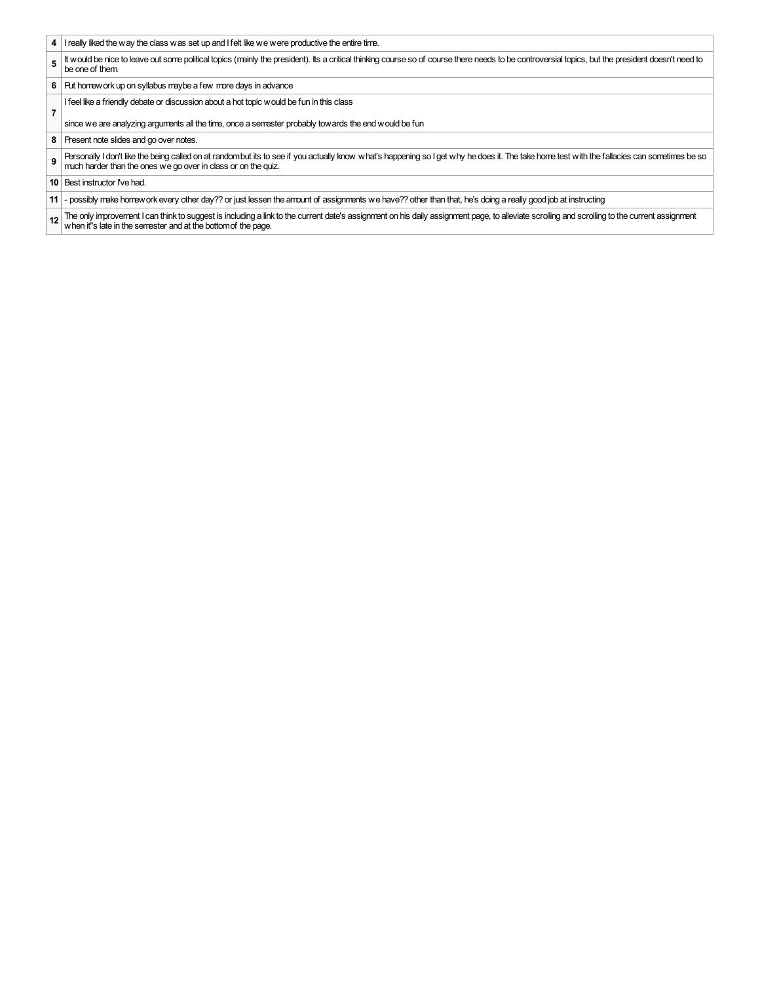- **4** I really liked the way the class was set up and I felt like we were productive the entire time.
- **5** It would be nice to leave out some political topics (mainly the president). Its a critical thinking course so of course there needs to be controversial topics, but the president doesn't need to be one of them.
- **6** Put homework up on syllabus maybe a few more days in advance
- Ifeel like a friendly debate or discussion about a hot topic would be fun in this class
- since we are analyzing arguments all the time, once a semester probably towards the end would be fun
- **8** Present note slides and go over notes.
- **9** Personally I don't like the being called on at randombut its to see if you actually know what's happening so I get why he does it. The take home test with the fallacies can sometimes be so much harder than the ones we go over in class or on the quiz.
- **10** Best instructor I've had.

**7**

- **11** possibly make homework every other day?? or just lessen the amount of assignments we have?? other than that, he's doing a really good job at instructing
- **12** The only improvement I can think to suggest is including a link to the current date's assignment on his daily assignment page, to alleviate scrolling and scrolling to the current assignment when it''s late in the semester and at the bottomof the page.